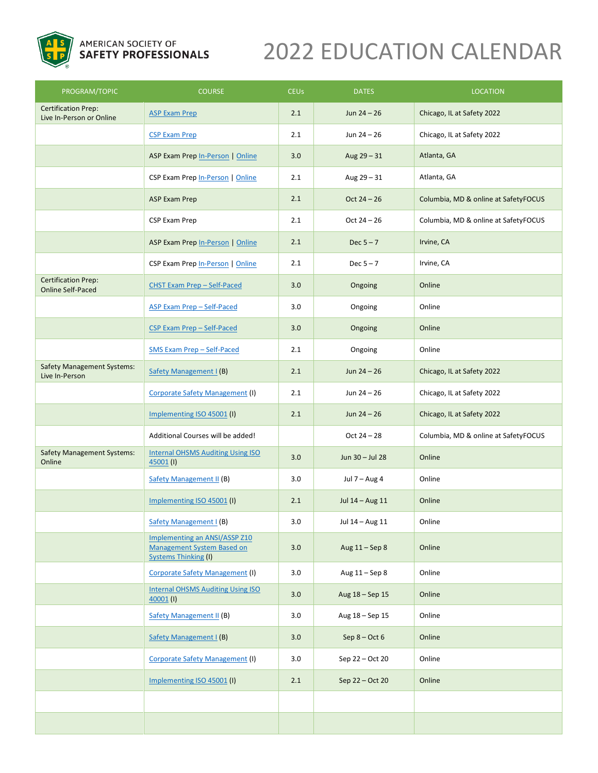

# 2022 EDUCATION CALENDAR

| PROGRAM/TOPIC                                          | <b>COURSE</b>                                                                              | <b>CEUs</b> | <b>DATES</b>     | <b>LOCATION</b>                      |
|--------------------------------------------------------|--------------------------------------------------------------------------------------------|-------------|------------------|--------------------------------------|
| <b>Certification Prep:</b><br>Live In-Person or Online | <b>ASP Exam Prep</b>                                                                       | 2.1         | Jun $24 - 26$    | Chicago, IL at Safety 2022           |
|                                                        | <b>CSP Exam Prep</b>                                                                       | 2.1         | Jun $24 - 26$    | Chicago, IL at Safety 2022           |
|                                                        | ASP Exam Prep In-Person   Online                                                           | 3.0         | Aug $29 - 31$    | Atlanta, GA                          |
|                                                        | CSP Exam Prep In-Person   Online                                                           | 2.1         | Aug $29 - 31$    | Atlanta, GA                          |
|                                                        | ASP Exam Prep                                                                              | 2.1         | $Oct 24 - 26$    | Columbia, MD & online at SafetyFOCUS |
|                                                        | CSP Exam Prep                                                                              | 2.1         | $Oct 24 - 26$    | Columbia, MD & online at SafetyFOCUS |
|                                                        | ASP Exam Prep In-Person   Online                                                           | 2.1         | Dec $5 - 7$      | Irvine, CA                           |
|                                                        | CSP Exam Prep In-Person   Online                                                           | 2.1         | Dec $5 - 7$      | Irvine, CA                           |
| <b>Certification Prep:</b><br><b>Online Self-Paced</b> | <b>CHST Exam Prep - Self-Paced</b>                                                         | 3.0         | Ongoing          | Online                               |
|                                                        | ASP Exam Prep - Self-Paced                                                                 | 3.0         | Ongoing          | Online                               |
|                                                        | CSP Exam Prep - Self-Paced                                                                 | 3.0         | Ongoing          | Online                               |
|                                                        | <b>SMS Exam Prep - Self-Paced</b>                                                          | 2.1         | Ongoing          | Online                               |
| <b>Safety Management Systems:</b><br>Live In-Person    | Safety Management I (B)                                                                    | 2.1         | Jun $24 - 26$    | Chicago, IL at Safety 2022           |
|                                                        | <b>Corporate Safety Management (I)</b>                                                     | 2.1         | Jun $24 - 26$    | Chicago, IL at Safety 2022           |
|                                                        | Implementing ISO 45001 (I)                                                                 | 2.1         | Jun $24 - 26$    | Chicago, IL at Safety 2022           |
|                                                        | Additional Courses will be added!                                                          |             | $Oct 24 - 28$    | Columbia, MD & online at SafetyFOCUS |
| <b>Safety Management Systems:</b><br>Online            | <b>Internal OHSMS Auditing Using ISO</b><br>$45001$ (I)                                    | 3.0         | Jun 30 - Jul 28  | Online                               |
|                                                        | <b>Safety Management II (B)</b>                                                            | 3.0         | Jul $7 - Aug 4$  | Online                               |
|                                                        | Implementing ISO 45001 (I)                                                                 | 2.1         | Jul 14 - Aug 11  | Online                               |
|                                                        | Safety Management I (B)                                                                    | 3.0         | Jul 14 - Aug 11  | Online                               |
|                                                        | Implementing an ANSI/ASSP Z10<br>Management System Based on<br><b>Systems Thinking (I)</b> | 3.0         | Aug $11 -$ Sep 8 | Online                               |
|                                                        | <b>Corporate Safety Management (I)</b>                                                     | 3.0         | Aug 11 - Sep 8   | Online                               |
|                                                        | <b>Internal OHSMS Auditing Using ISO</b><br>$40001$ (I)                                    | 3.0         | Aug 18 - Sep 15  | Online                               |
|                                                        | <b>Safety Management II (B)</b>                                                            | 3.0         | Aug 18 - Sep 15  | Online                               |
|                                                        | Safety Management I (B)                                                                    | 3.0         | Sep $8 - Oct 6$  | Online                               |
|                                                        | <b>Corporate Safety Management (I)</b>                                                     | 3.0         | Sep 22 - Oct 20  | Online                               |
|                                                        | Implementing ISO 45001 (I)                                                                 | 2.1         | Sep 22 - Oct 20  | Online                               |
|                                                        |                                                                                            |             |                  |                                      |
|                                                        |                                                                                            |             |                  |                                      |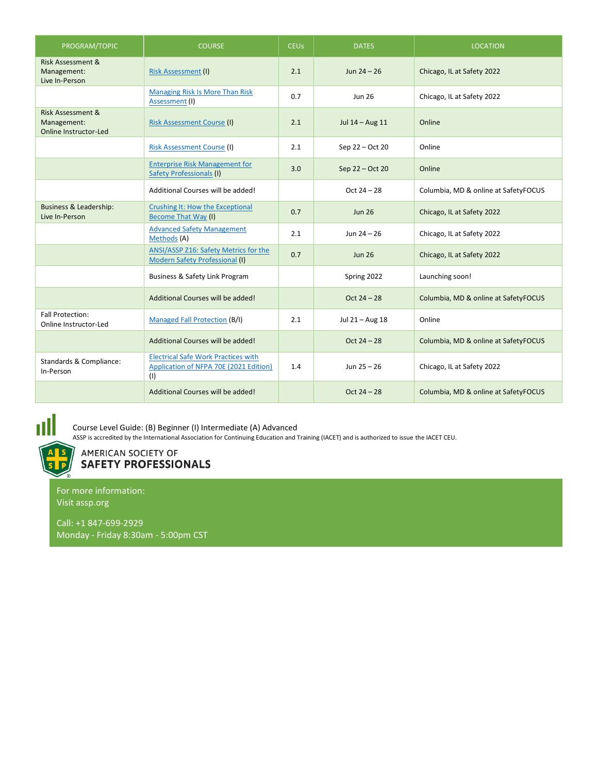| PROGRAM/TOPIC                                                 | <b>COURSE</b>                                                                               | <b>CEUs</b> | <b>DATES</b>    | <b>LOCATION</b>                      |
|---------------------------------------------------------------|---------------------------------------------------------------------------------------------|-------------|-----------------|--------------------------------------|
| <b>Risk Assessment &amp;</b><br>Management:<br>Live In-Person | <b>Risk Assessment (I)</b>                                                                  | 2.1         | Jun $24 - 26$   | Chicago, IL at Safety 2022           |
|                                                               | <b>Managing Risk Is More Than Risk</b><br>Assessment (I)                                    | 0.7         | <b>Jun 26</b>   | Chicago, IL at Safety 2022           |
| Risk Assessment &<br>Management:<br>Online Instructor-Led     | <b>Risk Assessment Course (I)</b>                                                           | 2.1         | Jul 14 - Aug 11 | Online                               |
|                                                               | <b>Risk Assessment Course (I)</b>                                                           | 2.1         | Sep 22 - Oct 20 | Online                               |
|                                                               | <b>Enterprise Risk Management for</b><br><b>Safety Professionals (I)</b>                    | 3.0         | Sep 22 - Oct 20 | Online                               |
|                                                               | Additional Courses will be added!                                                           |             | $Oct 24 - 28$   | Columbia, MD & online at SafetyFOCUS |
| Business & Leadership:<br>Live In-Person                      | Crushing It: How the Exceptional<br><b>Become That Way (I)</b>                              | 0.7         | <b>Jun 26</b>   | Chicago, IL at Safety 2022           |
|                                                               | <b>Advanced Safety Management</b><br>Methods (A)                                            | 2.1         | Jun $24 - 26$   | Chicago, IL at Safety 2022           |
|                                                               | ANSI/ASSP Z16: Safety Metrics for the<br>Modern Safety Professional (I)                     | 0.7         | <b>Jun 26</b>   | Chicago, IL at Safety 2022           |
|                                                               | Business & Safety Link Program                                                              |             | Spring 2022     | Launching soon!                      |
|                                                               | Additional Courses will be added!                                                           |             | $Oct 24 - 28$   | Columbia, MD & online at SafetyFOCUS |
| <b>Fall Protection:</b><br>Online Instructor-Led              | <b>Managed Fall Protection (B/I)</b>                                                        | 2.1         | Jul 21 - Aug 18 | Online                               |
|                                                               | Additional Courses will be added!                                                           |             | $Oct 24 - 28$   | Columbia, MD & online at SafetyFOCUS |
| Standards & Compliance:<br>In-Person                          | <b>Electrical Safe Work Practices with</b><br>Application of NFPA 70E (2021 Edition)<br>(1) | 1.4         | Jun 25 - 26     | Chicago, IL at Safety 2022           |
|                                                               | Additional Courses will be added!                                                           |             | $Oct 24 - 28$   | Columbia, MD & online at SafetyFOCUS |



Course Level Guide: (B) Beginner (I) Intermediate (A) Advanced

ASSP is accredited by the International Association for Continuing Education and Training (IACET) and is authorized to issue the IACET CEU.



AMERICAN SOCIETY OF **SAFETY PROFESSIONALS** 

For more information: Visit assp.org

Call: +1 847-699-2929 Monday - Friday 8:30am - 5:00pm CST